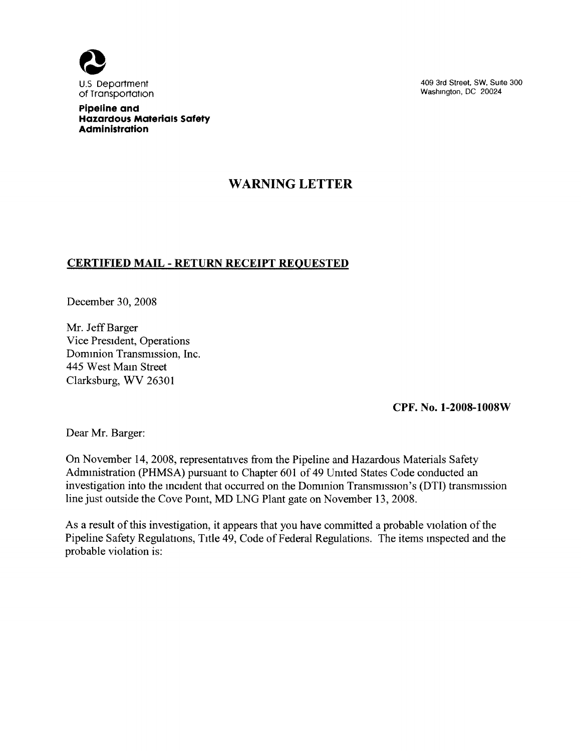

Pipeline and Hazardous Materials Safety Administration

409 3rd Street, SW, SUite 300 Washington, DC 20024

## WARNING LETTER

## CERTIFIED MAIL - RETURN RECEIPT REQUESTED

December 30, 2008

Mr. Jeff Barger Vice President, Operations Dommion Transmission, Inc. 445 West Main Street Clarksburg, WV 26301

CPF. No. 1-2008-1008W

Dear Mr. Barger:

On November 14, 2008, representatives from the Pipeline and Hazardous Materials Safety Administration (PHMSA) pursuant to Chapter 601 of 49 Umted States Code conducted an investigation into the incident that occurred on the Dommion Transmission's (DTI) transmission line just outside the Cove Point, MD LNG Plant gate on November 13, 2008.

As a result of this investigation, it appears that you have committed a probable violation of the Pipeline Safety Regulations, Title 49, Code of Federal Regulations. The items inspected and the probable violation is: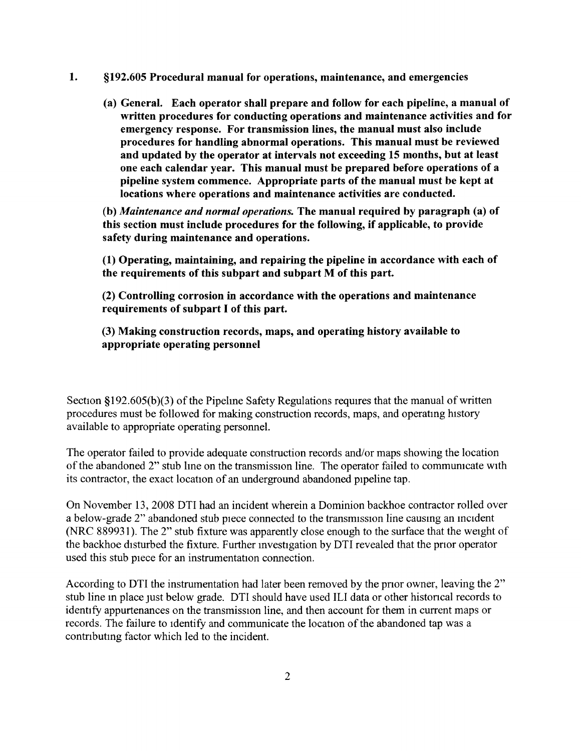- 1. \$192. 605 Procedural manual for operations, maintenance, and emergencies
	- (a) General. Each operator shall prepare and follow for each pipeline, a manual of written procedures for conducting operations and maintenance activities and for emergency response. For transmission lines, the manual must also include procedures for handling abnormal operations. This manual must be reviewed and updated by the operator at intervals not exceeding 15 months, but at least one each calendar year. This manual must be prepared before operations of a pipeline system commence. Appropriate parts of the manual must be kept at locations where operations and maintenance activities are conducted.

(b) Maintenance and normal operations. The manual required by paragraph (a) of this section must include procedures for the following, if applicable, to provide safety during maintenance and operations.

(1) Operating, maintaining, and repairing the pipeline in accordance with each of the requirements of this subpart and subpart M of this part.

(2) Controlling corrosion in accordance with the operations and maintenance requirements of subpart I of this part.

(3) Making construction records, maps, and operating history available to appropriate operating personnel

Section §192.605(b)(3) of the Pipeline Safety Regulations requires that the manual of written procedures must be followed for making construction records, maps, and operatmg history available to appropriate operating personnel.

The operator failed to provide adequate construction records and/or maps showing the location of the abandoned 2" stub lme on the transmission line. The operator failed to communicate with its contractor, the exact location of an underground abandoned pipeline tap.

On November 13, 2008 DTI had an incident wherein a Dominion backhoe contractor rolled over <sup>a</sup>below-grade 2" abandoned stub piece connected to the transmission line causmg an mcident (NRC 889931). The 2" stub fixture was apparently close enough to the surface that the weight of the backhoe disturbed the fixture. Further investigation by DTI revealed that the prior operator used this stub piece for an instrumentation connection.

According to DTI the instrumentation had later been removed by the prior owner, leaving the 2" stub line in place just below grade. DTI should have used ILI data or other historical records to identify appurtenances on the transmission line, and then account for them in current maps or records. The failure to identify and communicate the location of the abandoned tap was a contributing factor which led to the incident.